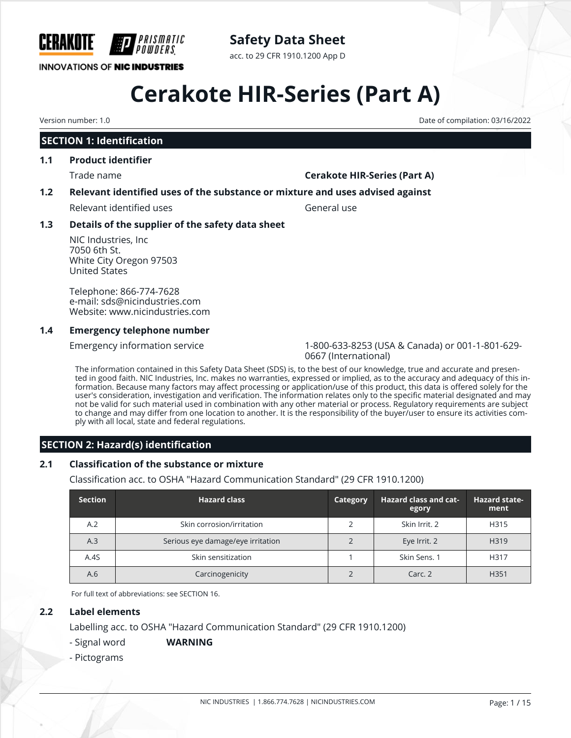

### **Safety Data Sheet**

acc. to 29 CFR 1910.1200 App D

# **Cerakote HIR-Series (Part A)**

Version number: 1.0 Date of compilation: 03/16/2022

#### **SECTION 1: Identification**

#### **1.1 Product identifier**

#### Trade name **Cerakote HIR-Series (Part A)**

#### **1.2 Relevant identified uses of the substance or mixture and uses advised against**

Relevant identified uses General use

#### **1.3 Details of the supplier of the safety data sheet**

NIC Industries, Inc 7050 6th St. White City Oregon 97503 United States

Telephone: 866-774-7628 e-mail: sds@nicindustries.com Website: www.nicindustries.com

#### **1.4 Emergency telephone number**

Emergency information service 1-800-633-8253 (USA & Canada) or 001-1-801-629- 0667 (International)

The information contained in this Safety Data Sheet (SDS) is, to the best of our knowledge, true and accurate and presented in good faith. NIC Industries, Inc. makes no warranties, expressed or implied, as to the accuracy and adequacy of this information. Because many factors may affect processing or application/use of this product, this data is offered solely for the user's consideration, investigation and verification. The information relates only to the specific material designated and may not be valid for such material used in combination with any other material or process. Regulatory requirements are subject to change and may differ from one location to another. It is the responsibility of the buyer/user to ensure its activities comply with all local, state and federal regulations.

#### **SECTION 2: Hazard(s) identification**

#### **2.1 Classification of the substance or mixture**

Classification acc. to OSHA "Hazard Communication Standard" (29 CFR 1910.1200)

| <b>Section</b> | <b>Hazard class</b>               | Category | <b>Hazard class and cat-</b><br>egory | <b>Hazard state-</b><br>ment |
|----------------|-----------------------------------|----------|---------------------------------------|------------------------------|
| A.2            | Skin corrosion/irritation         |          | Skin Irrit, 2                         | H315                         |
| A.3            | Serious eye damage/eye irritation |          | Eye Irrit. 2                          | H319                         |
| A.4S           | Skin sensitization                |          | Skin Sens. 1                          | H317                         |
| A.6            | Carcinogenicity                   |          | Carc. 2                               | H <sub>351</sub>             |

For full text of abbreviations: see SECTION 16.

#### **2.2 Label elements**

Labelling acc. to OSHA "Hazard Communication Standard" (29 CFR 1910.1200)

#### - Signal word **WARNING**

- Pictograms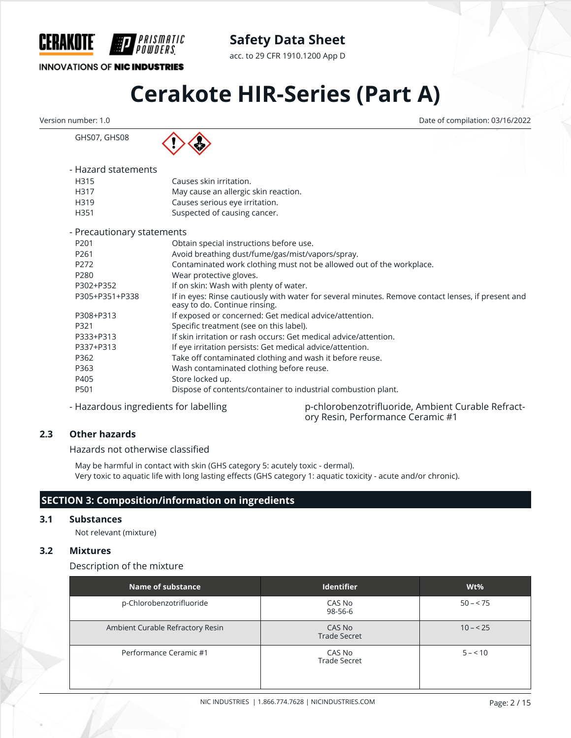

acc. to 29 CFR 1910.1200 App D

#### **INNOVATIONS OF NIC INDUSTRIES**

GHS07, GHS08

## **Cerakote HIR-Series (Part A)**

Version number: 1.0 Date of compilation: 03/16/2022

PRISMATIC

| - Hazard statements |                                      |
|---------------------|--------------------------------------|
| H315                | Causes skin irritation.              |
| H317                | May cause an allergic skin reaction. |
| H319                | Causes serious eye irritation.       |
| H351                | Suspected of causing cancer.         |
|                     |                                      |

| - Precautionary statements |                                                                                                                                     |
|----------------------------|-------------------------------------------------------------------------------------------------------------------------------------|
| P <sub>201</sub>           | Obtain special instructions before use.                                                                                             |
| P <sub>261</sub>           | Avoid breathing dust/fume/gas/mist/vapors/spray.                                                                                    |
| P <sub>272</sub>           | Contaminated work clothing must not be allowed out of the workplace.                                                                |
| P280                       | Wear protective gloves.                                                                                                             |
| P302+P352                  | If on skin: Wash with plenty of water.                                                                                              |
| P305+P351+P338             | If in eyes: Rinse cautiously with water for several minutes. Remove contact lenses, if present and<br>easy to do. Continue rinsing. |
| P308+P313                  | If exposed or concerned: Get medical advice/attention.                                                                              |
| P321                       | Specific treatment (see on this label).                                                                                             |
| P333+P313                  | If skin irritation or rash occurs: Get medical advice/attention.                                                                    |
| P337+P313                  | If eye irritation persists: Get medical advice/attention.                                                                           |
| P362                       | Take off contaminated clothing and wash it before reuse.                                                                            |
| P363                       | Wash contaminated clothing before reuse.                                                                                            |
| P405                       | Store locked up.                                                                                                                    |
| P501                       | Dispose of contents/container to industrial combustion plant.                                                                       |
|                            |                                                                                                                                     |

- Hazardous ingredients for labelling p-chlorobenzotrifluoride, Ambient Curable Refractory Resin, Performance Ceramic #1

#### **2.3 Other hazards**

Hazards not otherwise classified

May be harmful in contact with skin (GHS category 5: acutely toxic - dermal). Very toxic to aquatic life with long lasting effects (GHS category 1: aquatic toxicity - acute and/or chronic).

#### **SECTION 3: Composition/information on ingredients**

#### **3.1 Substances**

Not relevant (mixture)

#### **3.2 Mixtures**

Description of the mixture

| Name of substance                | <b>Identifier</b>             | $Wt\%$    |
|----------------------------------|-------------------------------|-----------|
| p-Chlorobenzotrifluoride         | CAS No<br>98-56-6             | $50 - 75$ |
| Ambient Curable Refractory Resin | CAS No<br><b>Trade Secret</b> | $10 - 25$ |
| Performance Ceramic #1           | CAS No<br><b>Trade Secret</b> | $5 - 10$  |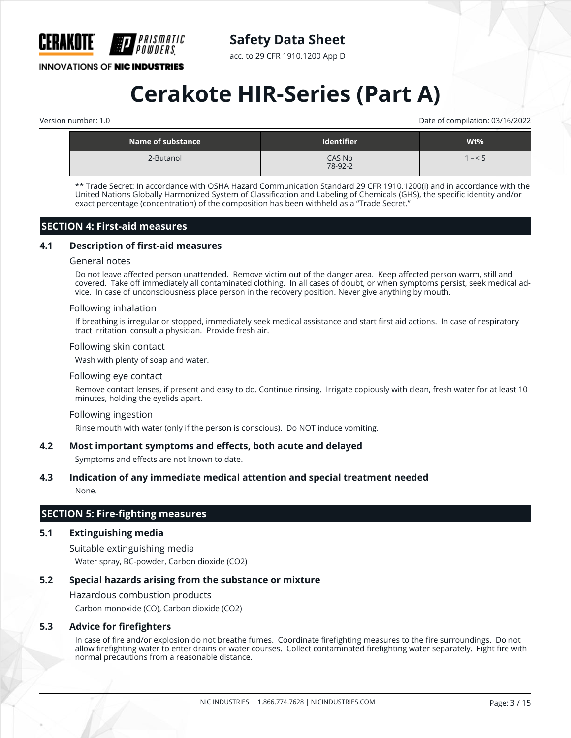

acc. to 29 CFR 1910.1200 App D

**INNOVATIONS OF NIC INDUSTRIES** 

## **Cerakote HIR-Series (Part A)**

Version number: 1.0 Date of compilation: 03/16/2022

| Name of substance $\,$ | <b>Identifier</b> | Wt%  |
|------------------------|-------------------|------|
| 2-Butanol              | CAS No<br>78-92-2 | $-5$ |

\*\* Trade Secret: In accordance with OSHA Hazard Communication Standard 29 CFR 1910.1200(i) and in accordance with the United Nations Globally Harmonized System of Classification and Labeling of Chemicals (GHS), the specific identity and/or exact percentage (concentration) of the composition has been withheld as a "Trade Secret."

#### **SECTION 4: First-aid measures**

#### **4.1 Description of first-aid measures**

#### General notes

Do not leave affected person unattended. Remove victim out of the danger area. Keep affected person warm, still and covered. Take off immediately all contaminated clothing. In all cases of doubt, or when symptoms persist, seek medical advice. In case of unconsciousness place person in the recovery position. Never give anything by mouth.

#### Following inhalation

If breathing is irregular or stopped, immediately seek medical assistance and start first aid actions. In case of respiratory tract irritation, consult a physician. Provide fresh air.

#### Following skin contact

Wash with plenty of soap and water.

#### Following eye contact

Remove contact lenses, if present and easy to do. Continue rinsing. Irrigate copiously with clean, fresh water for at least 10 minutes, holding the eyelids apart.

#### Following ingestion

Rinse mouth with water (only if the person is conscious). Do NOT induce vomiting.

#### **4.2 Most important symptoms and effects, both acute and delayed**

Symptoms and effects are not known to date.

#### **4.3 Indication of any immediate medical attention and special treatment needed**

None.

#### **SECTION 5: Fire-fighting measures**

#### **5.1 Extinguishing media**

Suitable extinguishing media Water spray, BC-powder, Carbon dioxide (CO2)

#### **5.2 Special hazards arising from the substance or mixture**

Hazardous combustion products

Carbon monoxide (CO), Carbon dioxide (CO2)

#### **5.3 Advice for firefighters**

In case of fire and/or explosion do not breathe fumes. Coordinate firefighting measures to the fire surroundings. Do not allow firefighting water to enter drains or water courses. Collect contaminated firefighting water separately. Fight fire with normal precautions from a reasonable distance.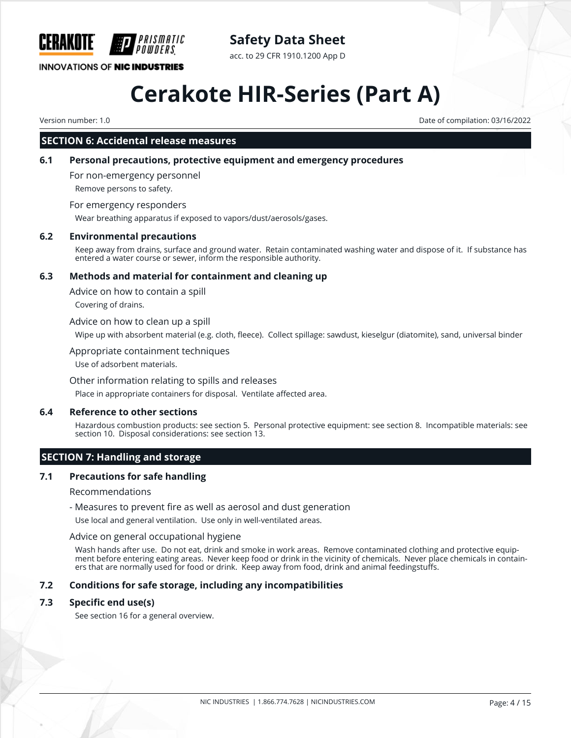

acc. to 29 CFR 1910.1200 App D

#### **INNOVATIONS OF NIC INDUSTRIES**

## **Cerakote HIR-Series (Part A)**

Version number: 1.0 Date of compilation: 03/16/2022

#### **SECTION 6: Accidental release measures**

#### **6.1 Personal precautions, protective equipment and emergency procedures**

For non-emergency personnel

Remove persons to safety.

#### For emergency responders

Wear breathing apparatus if exposed to vapors/dust/aerosols/gases.

#### **6.2 Environmental precautions**

Keep away from drains, surface and ground water. Retain contaminated washing water and dispose of it. If substance has entered a water course or sewer, inform the responsible authority.

#### **6.3 Methods and material for containment and cleaning up**

Advice on how to contain a spill

Covering of drains.

#### Advice on how to clean up a spill

Wipe up with absorbent material (e.g. cloth, fleece). Collect spillage: sawdust, kieselgur (diatomite), sand, universal binder

#### Appropriate containment techniques

Use of adsorbent materials.

#### Other information relating to spills and releases

Place in appropriate containers for disposal. Ventilate affected area.

#### **6.4 Reference to other sections**

Hazardous combustion products: see section 5. Personal protective equipment: see section 8. Incompatible materials: see section 10. Disposal considerations: see section 13.

#### **SECTION 7: Handling and storage**

#### **7.1 Precautions for safe handling**

#### Recommendations

- Measures to prevent fire as well as aerosol and dust generation

Use local and general ventilation. Use only in well-ventilated areas.

#### Advice on general occupational hygiene

Wash hands after use. Do not eat, drink and smoke in work areas. Remove contaminated clothing and protective equipment before entering eating areas. Never keep food or drink in the vicinity of chemicals. Never place chemicals in containers that are normally used for food or drink. Keep away from food, drink and animal feedingstuffs.

#### **7.2 Conditions for safe storage, including any incompatibilities**

#### **7.3 Specific end use(s)**

See section 16 for a general overview.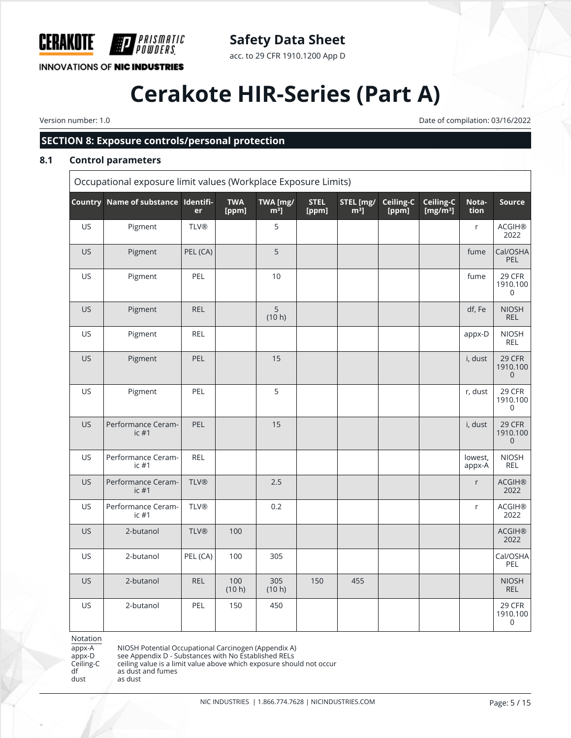

### **Safety Data Sheet**

acc. to 29 CFR 1910.1200 App D

## **Cerakote HIR-Series (Part A)**

Version number: 1.0 Date of compilation: 03/16/2022

#### **SECTION 8: Exposure controls/personal protection**

#### **8.1 Control parameters**

Occupational exposure limit values (Workplace Exposure Limits)

|           | Country Name of substance Identifi- | er          | <b>TWA</b><br>[ppm] | TWA [mg/<br>$m3$ ] | <b>STEL</b><br>[ppm] | STEL [mg/<br>$m3$ ] | Ceiling-C<br>[ppm] | Ceiling-C<br>[ $mg/m^3$ ] | Nota-<br>tion     | Source                                    |
|-----------|-------------------------------------|-------------|---------------------|--------------------|----------------------|---------------------|--------------------|---------------------------|-------------------|-------------------------------------------|
| US        | Pigment                             | <b>TLV®</b> |                     | 5                  |                      |                     |                    |                           | r                 | <b>ACGIH®</b><br>2022                     |
| <b>US</b> | Pigment                             | PEL (CA)    |                     | 5                  |                      |                     |                    |                           | fume              | Cal/OSHA<br>PEL                           |
| US        | Pigment                             | PEL         |                     | 10                 |                      |                     |                    |                           | fume              | 29 CFR<br>1910.100<br>$\mathsf 0$         |
| <b>US</b> | Pigment                             | <b>REL</b>  |                     | 5<br>(10 h)        |                      |                     |                    |                           | df, Fe            | <b>NIOSH</b><br><b>REL</b>                |
| US        | Pigment                             | <b>REL</b>  |                     |                    |                      |                     |                    |                           | appx-D            | <b>NIOSH</b><br>REL                       |
| <b>US</b> | Pigment                             | PEL         |                     | 15                 |                      |                     |                    |                           | i, dust           | 29 CFR<br>1910.100<br>$\mathsf{O}\xspace$ |
| US        | Pigment                             | PEL         |                     | 5                  |                      |                     |                    |                           | r, dust           | 29 CFR<br>1910.100<br>0                   |
| US.       | Performance Ceram-<br>ic#1          | PEL         |                     | 15                 |                      |                     |                    |                           | i, dust           | 29 CFR<br>1910.100<br>$\mathbf 0$         |
| US        | Performance Ceram-<br>ic#1          | <b>REL</b>  |                     |                    |                      |                     |                    |                           | lowest,<br>appx-A | <b>NIOSH</b><br>REL                       |
| <b>US</b> | Performance Ceram-<br>ic#1          | <b>TLV®</b> |                     | 2.5                |                      |                     |                    |                           | $r_{\rm}$         | <b>ACGIH®</b><br>2022                     |
| US        | Performance Ceram-<br>ic#1          | <b>TLV®</b> |                     | 0.2                |                      |                     |                    |                           | r                 | <b>ACGIH®</b><br>2022                     |
| US        | 2-butanol                           | <b>TLV®</b> | 100                 |                    |                      |                     |                    |                           |                   | <b>ACGIH®</b><br>2022                     |
| <b>US</b> | 2-butanol                           | PEL (CA)    | 100                 | 305                |                      |                     |                    |                           |                   | Cal/OSHA<br>PEL                           |
| US        | 2-butanol                           | <b>REL</b>  | 100<br>(10 h)       | 305<br>(10 h)      | 150                  | 455                 |                    |                           |                   | <b>NIOSH</b><br><b>REL</b>                |
| US        | 2-butanol                           | PEL         | 150                 | 450                |                      |                     |                    |                           |                   | 29 CFR<br>1910.100<br>$\mathsf{O}\xspace$ |

Notation

appx-A NIOSH Potential Occupational Carcinogen (Appendix A) appx-D see Appendix D - Substances with No Established RELs

appx-D see Appendix D - Substances with No Established RELs<br>Ceiling-C ceiling value is a limit value above which exposure shou

Ceiling-C ceiling value is a limit value above which exposure should not occur<br>df as dust and fumes

df as dust and fumes<br>dust as dust dust as dust

NIC INDUSTRIES | 1.866.774.7628 | NICINDUSTRIES.COM Page: 5 / 15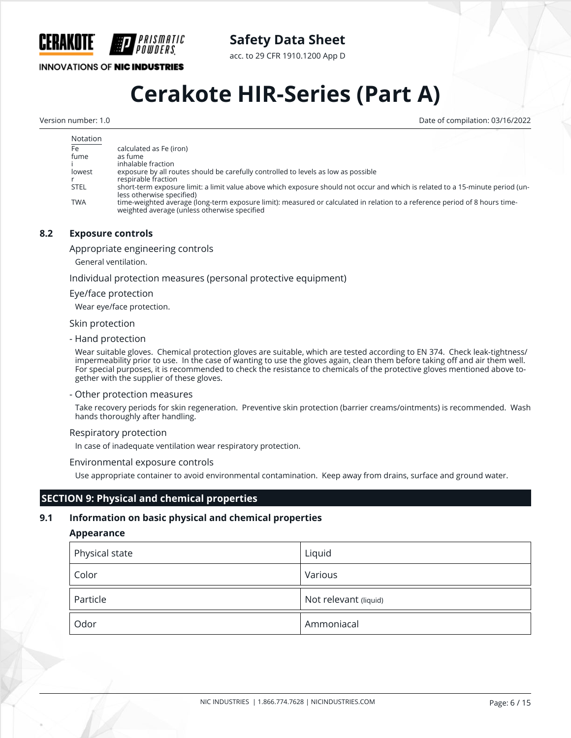

acc. to 29 CFR 1910.1200 App D

**INNOVATIONS OF NIC INDUSTRIES** 

*PRISMATIC* 

## **Cerakote HIR-Series (Part A)**

Version number: 1.0 Date of compilation: 03/16/2022

| Notation    |                                                                                                                                                                             |
|-------------|-----------------------------------------------------------------------------------------------------------------------------------------------------------------------------|
| Fe          | calculated as Fe (iron)                                                                                                                                                     |
| fume        | as fume                                                                                                                                                                     |
|             | inhalable fraction                                                                                                                                                          |
| lowest      | exposure by all routes should be carefully controlled to levels as low as possible                                                                                          |
|             | respirable fraction                                                                                                                                                         |
| <b>STEL</b> | short-term exposure limit: a limit value above which exposure should not occur and which is related to a 15-minute period (un-<br>less otherwise specified)                 |
| <b>TWA</b>  | time-weighted average (long-term exposure limit): measured or calculated in relation to a reference period of 8 hours time-<br>weighted average (unless otherwise specified |

#### **8.2 Exposure controls**

Appropriate engineering controls

General ventilation.

Individual protection measures (personal protective equipment)

#### Eye/face protection

Wear eye/face protection.

#### Skin protection

- Hand protection

Wear suitable gloves. Chemical protection gloves are suitable, which are tested according to EN 374. Check leak-tightness/ impermeability prior to use. In the case of wanting to use the gloves again, clean them before taking off and air them well. For special purposes, it is recommended to check the resistance to chemicals of the protective gloves mentioned above together with the supplier of these gloves.

#### - Other protection measures

Take recovery periods for skin regeneration. Preventive skin protection (barrier creams/ointments) is recommended. Wash hands thoroughly after handling.

#### Respiratory protection

In case of inadequate ventilation wear respiratory protection.

#### Environmental exposure controls

Use appropriate container to avoid environmental contamination. Keep away from drains, surface and ground water.

#### **SECTION 9: Physical and chemical properties**

#### **9.1 Information on basic physical and chemical properties**

#### **Appearance**

| Physical state | Liquid                |
|----------------|-----------------------|
| Color          | Various               |
| Particle       | Not relevant (liquid) |
| Odor           | Ammoniacal            |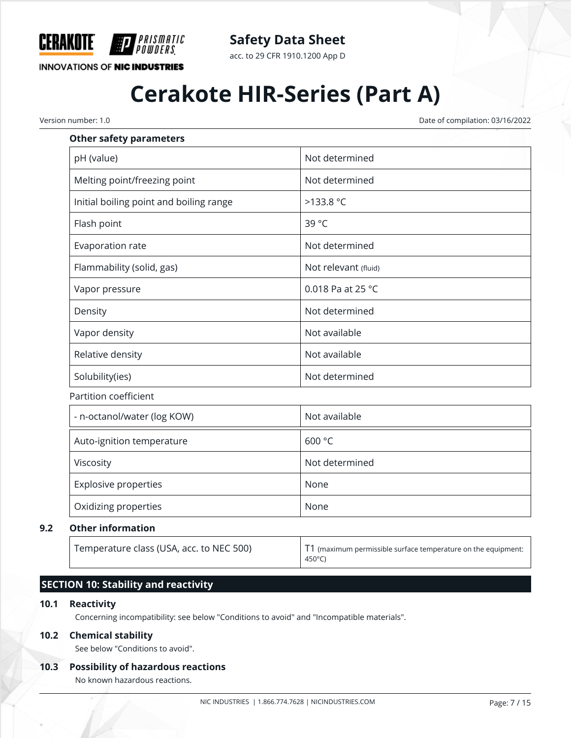

**Safety Data Sheet**

acc. to 29 CFR 1910.1200 App D

## **Cerakote HIR-Series (Part A)**

Version number: 1.0 Date of compilation: 03/16/2022

| <b>Other safety parameters</b>          |                      |
|-----------------------------------------|----------------------|
| pH (value)                              | Not determined       |
| Melting point/freezing point            | Not determined       |
| Initial boiling point and boiling range | $>133.8$ °C          |
| Flash point                             | 39 °C                |
| Evaporation rate                        | Not determined       |
| Flammability (solid, gas)               | Not relevant (fluid) |
| Vapor pressure                          | 0.018 Pa at 25 °C    |
| Density                                 | Not determined       |
| Vapor density                           | Not available        |
| Relative density                        | Not available        |
| Solubility(ies)                         | Not determined       |
| Partition coefficient                   |                      |
| - n-octanol/water (log KOW)             | Not available        |
| Auto-ignition temperature               | 600 °C               |

**9.2 Other information**

Temperature class (USA, acc. to NEC 500) T1 (maximum permissible surface temperature on the equipment: 450°C)

#### **SECTION 10: Stability and reactivity**

#### **10.1 Reactivity**

Concerning incompatibility: see below "Conditions to avoid" and "Incompatible materials".

Viscosity **Not determined** 

Explosive properties None

Oxidizing properties None

#### **10.2 Chemical stability**

See below "Conditions to avoid".

#### **10.3 Possibility of hazardous reactions**

No known hazardous reactions.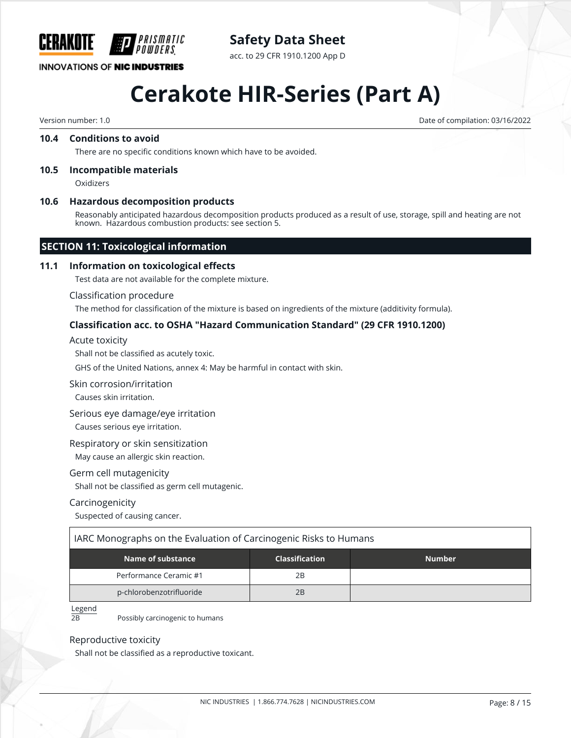

**INNOVATIONS OF NIC INDUSTRIES** 

#### acc. to 29 CFR 1910.1200 App D

## **Cerakote HIR-Series (Part A)**

Version number: 1.0 Date of compilation: 03/16/2022

#### **10.4 Conditions to avoid**

There are no specific conditions known which have to be avoided.

#### **10.5 Incompatible materials**

Oxidizers

#### **10.6 Hazardous decomposition products**

Reasonably anticipated hazardous decomposition products produced as a result of use, storage, spill and heating are not known. Hazardous combustion products: see section 5.

#### **SECTION 11: Toxicological information**

#### **11.1 Information on toxicological effects**

Test data are not available for the complete mixture.

#### Classification procedure

The method for classification of the mixture is based on ingredients of the mixture (additivity formula).

#### **Classification acc. to OSHA "Hazard Communication Standard" (29 CFR 1910.1200)**

Acute toxicity

Shall not be classified as acutely toxic.

GHS of the United Nations, annex 4: May be harmful in contact with skin.

#### Skin corrosion/irritation

Causes skin irritation.

#### Serious eye damage/eye irritation Causes serious eye irritation.

Respiratory or skin sensitization

May cause an allergic skin reaction.

#### Germ cell mutagenicity

Shall not be classified as germ cell mutagenic.

#### Carcinogenicity

Suspected of causing cancer.

#### IARC Monographs on the Evaluation of Carcinogenic Risks to Humans

| Name of substance        | <b>Classification</b> | <b>Number</b> |
|--------------------------|-----------------------|---------------|
| Performance Ceramic #1   | 2Β                    |               |
| p-chlorobenzotrifluoride | 2B                    |               |

#### Legend

2B Possibly carcinogenic to humans

#### Reproductive toxicity

Shall not be classified as a reproductive toxicant.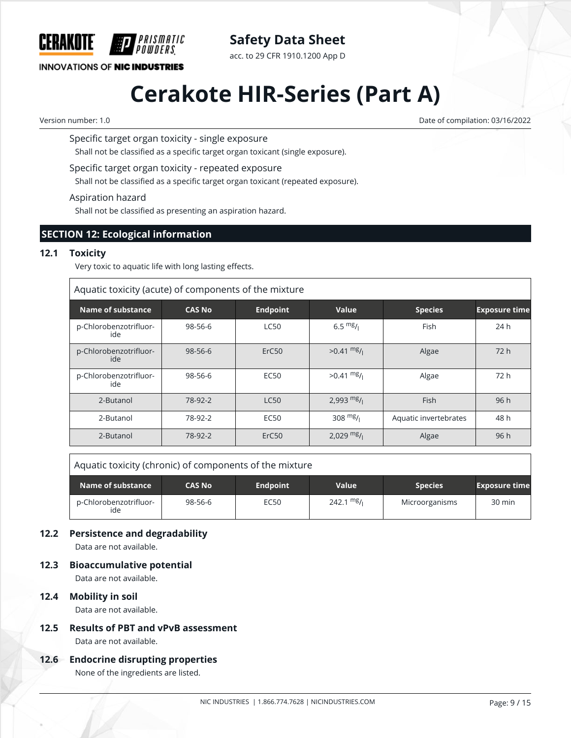

acc. to 29 CFR 1910.1200 App D

**INNOVATIONS OF NIC INDUSTRIES** 

## **Cerakote HIR-Series (Part A)**

Version number: 1.0 Date of compilation: 03/16/2022

Specific target organ toxicity - single exposure

PRISMATIC

Shall not be classified as a specific target organ toxicant (single exposure).

Specific target organ toxicity - repeated exposure

Shall not be classified as a specific target organ toxicant (repeated exposure).

Aspiration hazard

Shall not be classified as presenting an aspiration hazard.

#### **SECTION 12: Ecological information**

#### **12.1 Toxicity**

Very toxic to aquatic life with long lasting effects.

| Aquatic toxicity (acute) of components of the mixture |               |                   |                      |                       |                      |  |  |
|-------------------------------------------------------|---------------|-------------------|----------------------|-----------------------|----------------------|--|--|
| Name of substance                                     | <b>CAS No</b> | <b>Endpoint</b>   | Value                | <b>Species</b>        | <b>Exposure time</b> |  |  |
| p-Chlorobenzotrifluor-<br>ide                         | 98-56-6       | <b>LC50</b>       | 6.5 $mg/1$           | Fish                  | 24h                  |  |  |
| p-Chlorobenzotrifluor-<br>ide                         | $98 - 56 - 6$ | ErC <sub>50</sub> | $>0.41 \frac{mg}{l}$ | Algae                 | 72h                  |  |  |
| p-Chlorobenzotrifluor-<br>ide                         | 98-56-6       | <b>EC50</b>       | $>0.41 \frac{mg}{l}$ | Algae                 | 72 h                 |  |  |
| 2-Butanol                                             | 78-92-2       | <b>LC50</b>       | 2,993 $mg/1$         | Fish                  | 96h                  |  |  |
| 2-Butanol                                             | 78-92-2       | <b>EC50</b>       | 308 $mg/1$           | Aquatic invertebrates | 48 h                 |  |  |
| 2-Butanol                                             | 78-92-2       | ErC <sub>50</sub> | $2,029$ mg/          | Algae                 | 96h                  |  |  |

Aquatic toxicity (chronic) of components of the mixture

| Name of substance <b>\</b>    | <b>CAS No</b> | <b>Endpoint</b> | <b>Value</b>         | Species <sup>1</sup> | <b>Exposure time</b> |
|-------------------------------|---------------|-----------------|----------------------|----------------------|----------------------|
| p-Chlorobenzotrifluor-<br>ide | 98-56-6       | <b>EC50</b>     | $242.1 \text{ mg}$ / | Microorganisms       | 30 min               |

#### **12.2 Persistence and degradability**

Data are not available.

**12.3 Bioaccumulative potential**

Data are not available.

#### **12.4 Mobility in soil**

Data are not available.

**12.5 Results of PBT and vPvB assessment** Data are not available.

#### **12.6 Endocrine disrupting properties**

None of the ingredients are listed.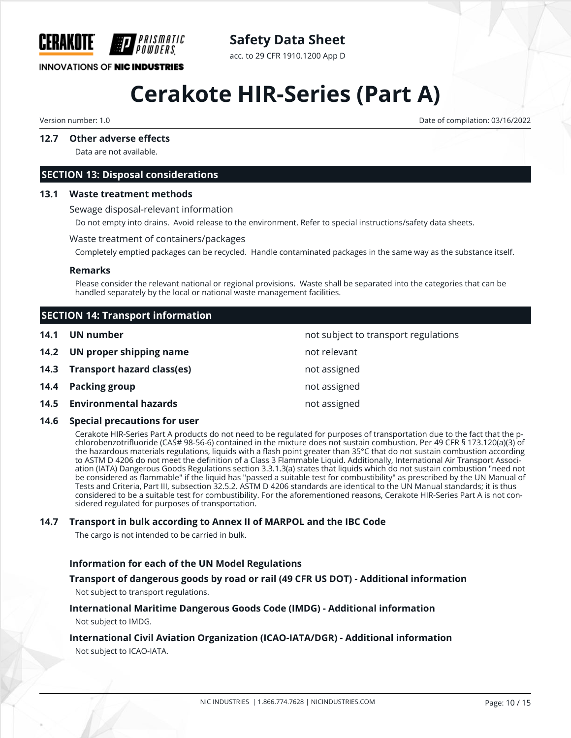

### **Safety Data Sheet**

acc. to 29 CFR 1910.1200 App D

# **Cerakote HIR-Series (Part A)**

Version number: 1.0 Date of compilation: 03/16/2022

#### **12.7 Other adverse effects**

Data are not available.

#### **SECTION 13: Disposal considerations**

#### **13.1 Waste treatment methods**

Sewage disposal-relevant information

Do not empty into drains. Avoid release to the environment. Refer to special instructions/safety data sheets.

#### Waste treatment of containers/packages

Completely emptied packages can be recycled. Handle contaminated packages in the same way as the substance itself.

#### **Remarks**

Please consider the relevant national or regional provisions. Waste shall be separated into the categories that can be handled separately by the local or national waste management facilities.

|      | <b>SECTION 14: Transport information</b> |                                      |  |
|------|------------------------------------------|--------------------------------------|--|
| 14.1 | UN number                                | not subject to transport regulations |  |
|      | 14.2 UN proper shipping name             | not relevant                         |  |
|      | 14.3 Transport hazard class(es)          | not assigned                         |  |
|      | 14.4 Packing group                       | not assigned                         |  |
|      | 14.5 Environmental hazards               | not assigned                         |  |

#### **14.6 Special precautions for user**

Cerakote HIR-Series Part A products do not need to be regulated for purposes of transportation due to the fact that the pchlorobenzotrifluoride (CAS# 98-56-6) contained in the mixture does not sustain combustion. Per 49 CFR § 173.120(a)(3) of the hazardous materials regulations, liquids with a flash point greater than 35°C that do not sustain combustion according to ASTM D 4206 do not meet the definition of a Class 3 Flammable Liquid. Additionally, International Air Transport Association (IATA) Dangerous Goods Regulations section 3.3.1.3(a) states that liquids which do not sustain combustion "need not be considered as flammable" if the liquid has "passed a suitable test for combustibility" as prescribed by the UN Manual of Tests and Criteria, Part III, subsection 32.5.2. ASTM D 4206 standards are identical to the UN Manual standards; it is thus considered to be a suitable test for combustibility. For the aforementioned reasons, Cerakote HIR-Series Part A is not considered regulated for purposes of transportation.

#### **14.7 Transport in bulk according to Annex II of MARPOL and the IBC Code**

The cargo is not intended to be carried in bulk.

#### **Information for each of the UN Model Regulations**

#### **Transport of dangerous goods by road or rail (49 CFR US DOT) - Additional information**

Not subject to transport regulations.

#### **International Maritime Dangerous Goods Code (IMDG) - Additional information** Not subject to IMDG.

#### **International Civil Aviation Organization (ICAO-IATA/DGR) - Additional information** Not subject to ICAO-IATA.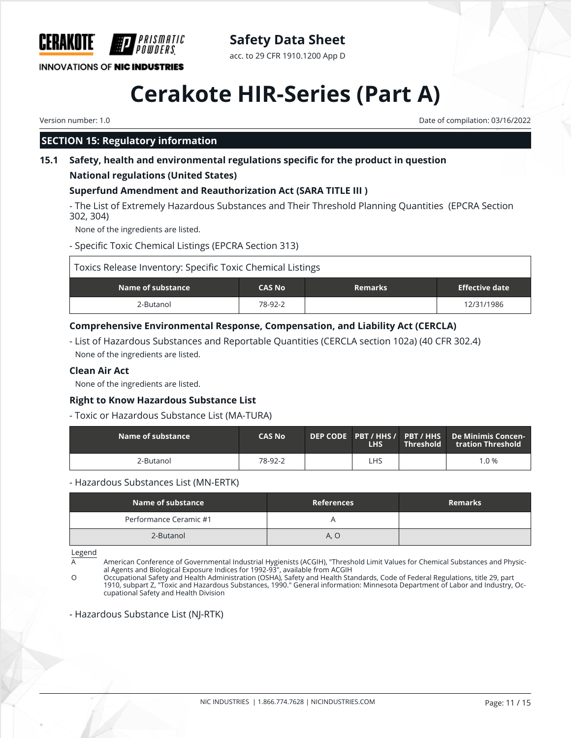

### **Safety Data Sheet**

acc. to 29 CFR 1910.1200 App D

# **Cerakote HIR-Series (Part A)**

Version number: 1.0 Date of compilation: 03/16/2022

### **SECTION 15: Regulatory information**

#### **15.1 Safety, health and environmental regulations specific for the product in question**

#### **National regulations (United States)**

### **Superfund Amendment and Reauthorization Act (SARA TITLE III )**

- The List of Extremely Hazardous Substances and Their Threshold Planning Quantities (EPCRA Section 302, 304)

None of the ingredients are listed.

- Specific Toxic Chemical Listings (EPCRA Section 313)

| Toxics Release Inventory: Specific Toxic Chemical Listings |               |                |                       |
|------------------------------------------------------------|---------------|----------------|-----------------------|
| Name of substance                                          | <b>CAS No</b> | <b>Remarks</b> | <b>Effective date</b> |
| 2-Butanol                                                  | 78-92-2       |                | 12/31/1986            |

#### **Comprehensive Environmental Response, Compensation, and Liability Act (CERCLA)**

- List of Hazardous Substances and Reportable Quantities (CERCLA section 102a) (40 CFR 302.4) None of the ingredients are listed.

#### **Clean Air Act**

None of the ingredients are listed.

#### **Right to Know Hazardous Substance List**

#### - Toxic or Hazardous Substance List (MA-TURA)

| $\blacksquare$ Name of substance $\blacksquare$ | <b>CAS No</b> | <b>LHS</b> | Threshold | DEP CODE PBT / HHS / PBT / HHS De Minimis Concen-<br>tration Threshold . |
|-------------------------------------------------|---------------|------------|-----------|--------------------------------------------------------------------------|
| 2-Butanol                                       | 78-92-2       | ∟HS        |           | 1.0%                                                                     |

#### - Hazardous Substances List (MN-ERTK)

| Name of substance      | <b>References</b> | <b>Remarks</b> |
|------------------------|-------------------|----------------|
| Performance Ceramic #1 |                   |                |
| 2-Butanol              | A, O              |                |

Legend

A American Conference of Governmental Industrial Hygienists (ACGIH), "Threshold Limit Values for Chemical Substances and Physical Agents and Biological Exposure Indices for 1992-93", available from ACGIH

O Occupational Safety and Health Administration (OSHA), Safety and Health Standards, Code of Federal Regulations, title 29, part 1910, subpart Z, "Toxic and Hazardous Substances, 1990." General information: Minnesota Department of Labor and Industry, Occupational Safety and Health Division

#### - Hazardous Substance List (NJ-RTK)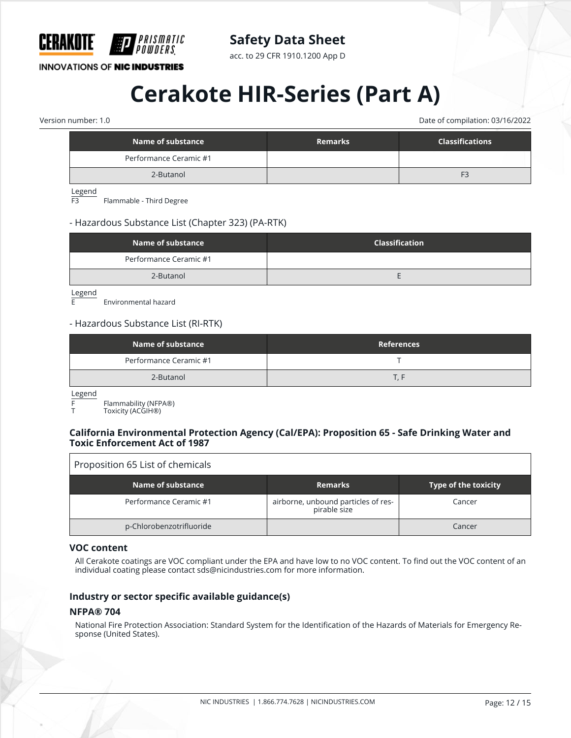

acc. to 29 CFR 1910.1200 App D

**INNOVATIONS OF NIC INDUSTRIES** 

## **Cerakote HIR-Series (Part A)**

Version number: 1.0 Date of compilation: 03/16/2022

| Name of substance      | <b>Remarks</b> | <b>Classifications</b> |
|------------------------|----------------|------------------------|
| Performance Ceramic #1 |                |                        |
| 2-Butanol              |                | F <sub>3</sub>         |
|                        |                |                        |

Legend<br>F3

Flammable - Third Degree

#### - Hazardous Substance List (Chapter 323) (PA-RTK)

| Name of substance      | <b>Classification</b> |
|------------------------|-----------------------|
| Performance Ceramic #1 |                       |
| 2-Butanol              |                       |

 $\frac{\text{Legend}}{\text{F}}$ 

Environmental hazard

#### - Hazardous Substance List (RI-RTK)

| Name of substance      | <b>References</b> |
|------------------------|-------------------|
| Performance Ceramic #1 |                   |
| 2-Butanol              |                   |

Legend

F Flammability (NFPA®)

Toxicity (ACGIH<sup>®</sup>)

#### **California Environmental Protection Agency (Cal/EPA): Proposition 65 - Safe Drinking Water and Toxic Enforcement Act of 1987**

#### Proposition 65 List of chemicals

| Name of substance        | <b>Remarks</b>                                      | Type of the toxicity |
|--------------------------|-----------------------------------------------------|----------------------|
| Performance Ceramic #1   | airborne, unbound particles of res-<br>pirable size | Cancer               |
| p-Chlorobenzotrifluoride |                                                     | Cancer               |

#### **VOC content**

All Cerakote coatings are VOC compliant under the EPA and have low to no VOC content. To find out the VOC content of an individual coating please contact sds@nicindustries.com for more information.

#### **Industry or sector specific available guidance(s)**

#### **NFPA® 704**

National Fire Protection Association: Standard System for the Identification of the Hazards of Materials for Emergency Response (United States).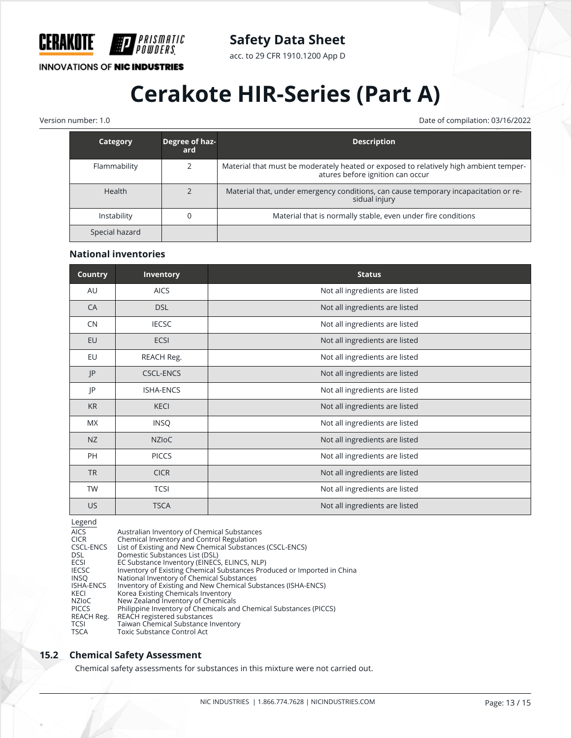

acc. to 29 CFR 1910.1200 App D

#### **INNOVATIONS OF NIC INDUSTRIES**

*PRISMATIC<br>Powders* 

## **Cerakote HIR-Series (Part A)**

Version number: 1.0 Date of compilation: 03/16/2022

| Category       | Degree of haz-<br>ard | <b>Description</b>                                                                                                        |
|----------------|-----------------------|---------------------------------------------------------------------------------------------------------------------------|
| Flammability   |                       | Material that must be moderately heated or exposed to relatively high ambient temper-<br>atures before ignition can occur |
| <b>Health</b>  |                       | Material that, under emergency conditions, can cause temporary incapacitation or re-<br>sidual injury                     |
| Instability    |                       | Material that is normally stable, even under fire conditions                                                              |
| Special hazard |                       |                                                                                                                           |

#### **National inventories**

| <b>Country</b> | <b>Inventory</b> | <b>Status</b>                  |
|----------------|------------------|--------------------------------|
| AU             | <b>AICS</b>      | Not all ingredients are listed |
| CA             | <b>DSL</b>       | Not all ingredients are listed |
| CN             | <b>IECSC</b>     | Not all ingredients are listed |
| EU             | <b>ECSI</b>      | Not all ingredients are listed |
| EU             | REACH Reg.       | Not all ingredients are listed |
| P              | <b>CSCL-ENCS</b> | Not all ingredients are listed |
| JP             | <b>ISHA-ENCS</b> | Not all ingredients are listed |
| <b>KR</b>      | <b>KECI</b>      | Not all ingredients are listed |
| MX             | <b>INSQ</b>      | Not all ingredients are listed |
| NZ             | <b>NZIOC</b>     | Not all ingredients are listed |
| <b>PH</b>      | <b>PICCS</b>     | Not all ingredients are listed |
| <b>TR</b>      | <b>CICR</b>      | Not all ingredients are listed |
| <b>TW</b>      | <b>TCSI</b>      | Not all ingredients are listed |
| <b>US</b>      | <b>TSCA</b>      | Not all ingredients are listed |

Legend

AICS Australian Inventory of Chemical Substances CICR Chemical Inventory and Control Regulation CSCL-ENCS List of Existing and New Chemical Substances (CSCL-ENCS)<br>DSL Domestic Substances List (DSL) DSL Domestic Substances List (DSL) ECSI EC Substance Inventory (EINECS, ELINCS, NLP)<br>IECSC Inventory of Existing Chemical Substances Pro IECSC Inventory of Existing Chemical Substances Produced or Imported in China<br>INSQ National Inventory of Chemical Substances INSQ National Inventory of Chemical Substances<br>ISHA-ENCS Inventory of Existing and New Chemical Sul ISHA-ENCS Inventory of Existing and New Chemical Substances (ISHA-ENCS) KECI Korea Existing Chemicals Inventory NZIoC New Zealand Inventory of Chemicals PICCS Philippine Inventory of Chemicals and Chemical Substances (PICCS) REACH Reg. REACH registered substances<br>TCSI Taiwan Chemical Substance Ir TCSI Taiwan Chemical Substance Inventory<br>
TSCA Toxic Substance Control Act Toxic Substance Control Act

#### **15.2 Chemical Safety Assessment**

Chemical safety assessments for substances in this mixture were not carried out.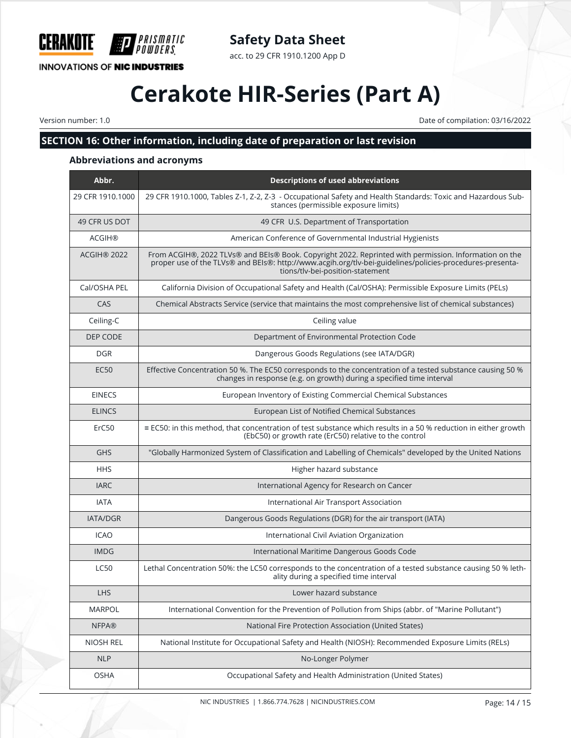

### **Safety Data Sheet**

acc. to 29 CFR 1910.1200 App D

## **Cerakote HIR-Series (Part A)**

Version number: 1.0 Date of compilation: 03/16/2022

### **SECTION 16: Other information, including date of preparation or last revision**

#### **Abbreviations and acronyms**

| Abbr.            | <b>Descriptions of used abbreviations</b>                                                                                                                                                                                                             |
|------------------|-------------------------------------------------------------------------------------------------------------------------------------------------------------------------------------------------------------------------------------------------------|
| 29 CFR 1910.1000 | 29 CFR 1910.1000, Tables Z-1, Z-2, Z-3 - Occupational Safety and Health Standards: Toxic and Hazardous Sub-<br>stances (permissible exposure limits)                                                                                                  |
| 49 CFR US DOT    | 49 CFR U.S. Department of Transportation                                                                                                                                                                                                              |
| <b>ACGIH®</b>    | American Conference of Governmental Industrial Hygienists                                                                                                                                                                                             |
| ACGIH® 2022      | From ACGIH®, 2022 TLVs® and BEIs® Book. Copyright 2022. Reprinted with permission. Information on the<br>proper use of the TLVs® and BEIs®: http://www.acgih.org/tlv-bei-guidelines/policies-procedures-presenta-<br>tions/tlv-bei-position-statement |
| Cal/OSHA PEL     | California Division of Occupational Safety and Health (Cal/OSHA): Permissible Exposure Limits (PELs)                                                                                                                                                  |
| CAS              | Chemical Abstracts Service (service that maintains the most comprehensive list of chemical substances)                                                                                                                                                |
| Ceiling-C        | Ceiling value                                                                                                                                                                                                                                         |
| DEP CODE         | Department of Environmental Protection Code                                                                                                                                                                                                           |
| <b>DGR</b>       | Dangerous Goods Regulations (see IATA/DGR)                                                                                                                                                                                                            |
| <b>EC50</b>      | Effective Concentration 50 %. The EC50 corresponds to the concentration of a tested substance causing 50 %<br>changes in response (e.g. on growth) during a specified time interval                                                                   |
| <b>EINECS</b>    | European Inventory of Existing Commercial Chemical Substances                                                                                                                                                                                         |
| <b>ELINCS</b>    | European List of Notified Chemical Substances                                                                                                                                                                                                         |
| ErC50            | ≡ EC50: in this method, that concentration of test substance which results in a 50 % reduction in either growth<br>(EbC50) or growth rate (ErC50) relative to the control                                                                             |
| <b>GHS</b>       | "Globally Harmonized System of Classification and Labelling of Chemicals" developed by the United Nations                                                                                                                                             |
| <b>HHS</b>       | Higher hazard substance                                                                                                                                                                                                                               |
| <b>IARC</b>      | International Agency for Research on Cancer                                                                                                                                                                                                           |
| <b>IATA</b>      | International Air Transport Association                                                                                                                                                                                                               |
| <b>IATA/DGR</b>  | Dangerous Goods Regulations (DGR) for the air transport (IATA)                                                                                                                                                                                        |
| <b>ICAO</b>      | International Civil Aviation Organization                                                                                                                                                                                                             |
| <b>IMDG</b>      | International Maritime Dangerous Goods Code                                                                                                                                                                                                           |
| <b>LC50</b>      | Lethal Concentration 50%: the LC50 corresponds to the concentration of a tested substance causing 50 % leth-<br>ality during a specified time interval                                                                                                |
| LHS              | Lower hazard substance                                                                                                                                                                                                                                |
| MARPOL           | International Convention for the Prevention of Pollution from Ships (abbr. of "Marine Pollutant")                                                                                                                                                     |
| <b>NFPA®</b>     | National Fire Protection Association (United States)                                                                                                                                                                                                  |
| NIOSH REL        | National Institute for Occupational Safety and Health (NIOSH): Recommended Exposure Limits (RELs)                                                                                                                                                     |
| <b>NLP</b>       | No-Longer Polymer                                                                                                                                                                                                                                     |
| <b>OSHA</b>      | Occupational Safety and Health Administration (United States)                                                                                                                                                                                         |